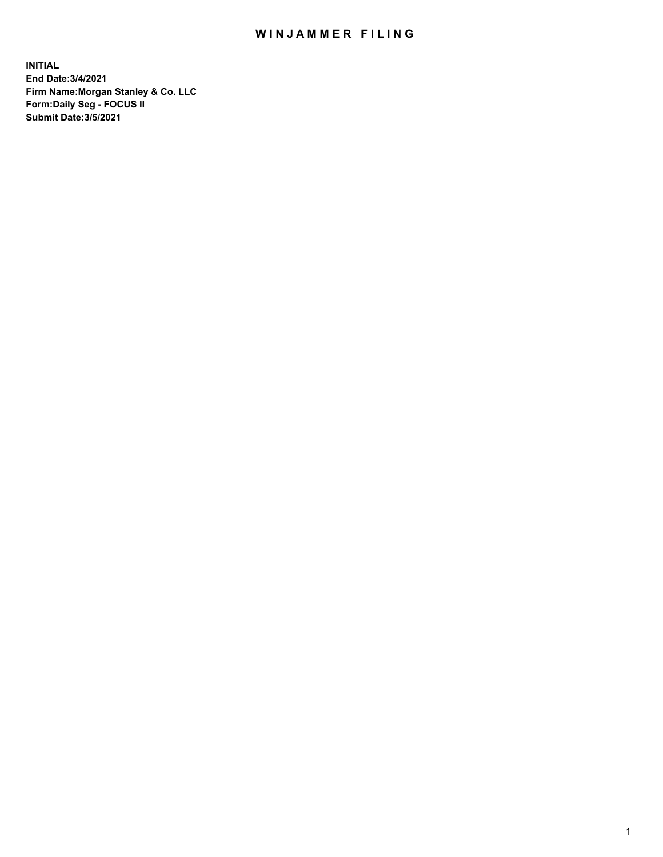## WIN JAMMER FILING

**INITIAL End Date:3/4/2021 Firm Name:Morgan Stanley & Co. LLC Form:Daily Seg - FOCUS II Submit Date:3/5/2021**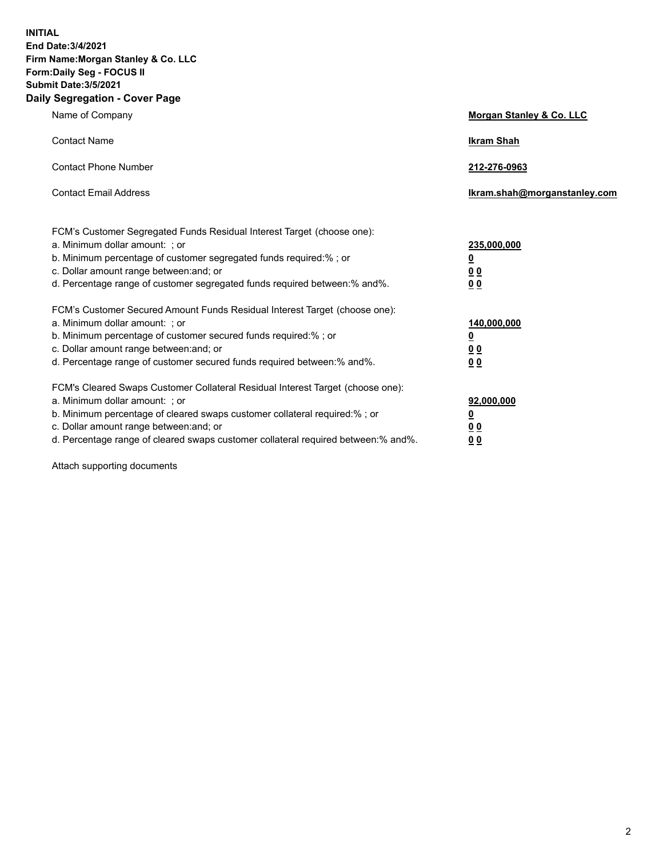**INITIAL End Date:3/4/2021 Firm Name:Morgan Stanley & Co. LLC Form:Daily Seg - FOCUS II Submit Date:3/5/2021 Daily Segregation - Cover Page**

| Name of Company                                                                                                                                                                                                                                                                                                                | <b>Morgan Stanley &amp; Co. LLC</b>                        |
|--------------------------------------------------------------------------------------------------------------------------------------------------------------------------------------------------------------------------------------------------------------------------------------------------------------------------------|------------------------------------------------------------|
| <b>Contact Name</b>                                                                                                                                                                                                                                                                                                            | <b>Ikram Shah</b>                                          |
| <b>Contact Phone Number</b>                                                                                                                                                                                                                                                                                                    | 212-276-0963                                               |
| <b>Contact Email Address</b>                                                                                                                                                                                                                                                                                                   | Ikram.shah@morganstanley.com                               |
| FCM's Customer Segregated Funds Residual Interest Target (choose one):<br>a. Minimum dollar amount: ; or<br>b. Minimum percentage of customer segregated funds required:% ; or<br>c. Dollar amount range between: and; or<br>d. Percentage range of customer segregated funds required between: % and %.                       | 235,000,000<br><u>0</u><br><u>00</u><br>0 <sup>0</sup>     |
| FCM's Customer Secured Amount Funds Residual Interest Target (choose one):<br>a. Minimum dollar amount: ; or<br>b. Minimum percentage of customer secured funds required:%; or<br>c. Dollar amount range between: and; or<br>d. Percentage range of customer secured funds required between: % and %.                          | 140,000,000<br><u>0</u><br><u>00</u><br>0 <sup>0</sup>     |
| FCM's Cleared Swaps Customer Collateral Residual Interest Target (choose one):<br>a. Minimum dollar amount: ; or<br>b. Minimum percentage of cleared swaps customer collateral required:% ; or<br>c. Dollar amount range between: and; or<br>d. Percentage range of cleared swaps customer collateral required between:% and%. | 92,000,000<br><u>0</u><br>0 <sup>0</sup><br>0 <sub>0</sub> |

Attach supporting documents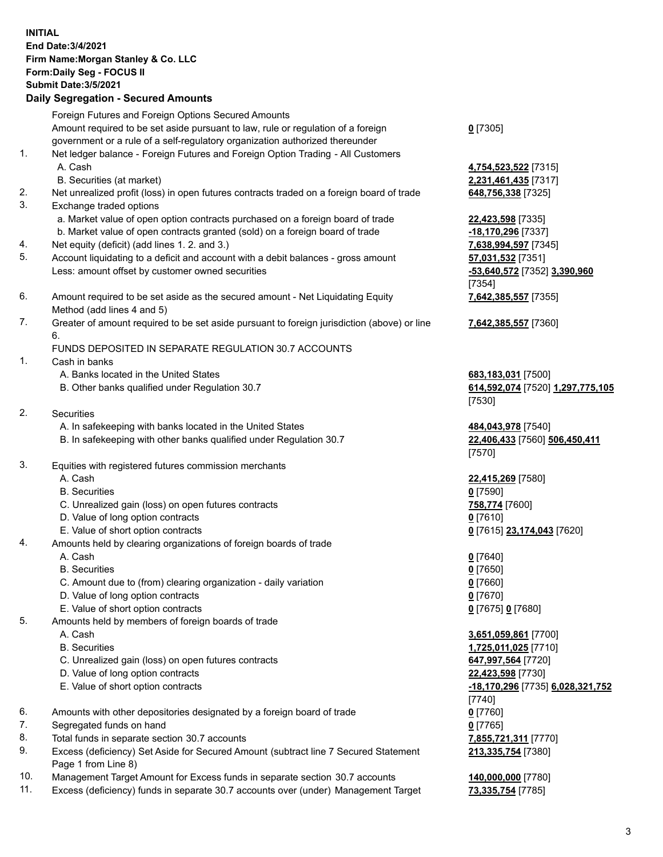|          | <b>INITIAL</b><br>End Date: 3/4/2021<br>Firm Name: Morgan Stanley & Co. LLC<br>Form: Daily Seg - FOCUS II<br><b>Submit Date: 3/5/2021</b><br><b>Daily Segregation - Secured Amounts</b> |                                                     |
|----------|-----------------------------------------------------------------------------------------------------------------------------------------------------------------------------------------|-----------------------------------------------------|
|          | Foreign Futures and Foreign Options Secured Amounts                                                                                                                                     |                                                     |
|          | Amount required to be set aside pursuant to law, rule or regulation of a foreign                                                                                                        | $0$ [7305]                                          |
| 1.       | government or a rule of a self-regulatory organization authorized thereunder<br>Net ledger balance - Foreign Futures and Foreign Option Trading - All Customers                         |                                                     |
|          | A. Cash                                                                                                                                                                                 | 4,754,523,522 [7315]                                |
|          | B. Securities (at market)                                                                                                                                                               | 2,231,461,435 [7317]                                |
| 2.       | Net unrealized profit (loss) in open futures contracts traded on a foreign board of trade                                                                                               | 648,756,338 [7325]                                  |
| 3.       | Exchange traded options                                                                                                                                                                 |                                                     |
|          | a. Market value of open option contracts purchased on a foreign board of trade                                                                                                          | 22,423,598 [7335]                                   |
|          | b. Market value of open contracts granted (sold) on a foreign board of trade                                                                                                            | -18,170,296 [7337]                                  |
| 4.<br>5. | Net equity (deficit) (add lines 1.2. and 3.)<br>Account liquidating to a deficit and account with a debit balances - gross amount                                                       | 7,638,994,597 [7345]<br>57,031,532 [7351]           |
|          | Less: amount offset by customer owned securities                                                                                                                                        | -53,640,572 [7352] 3,390,960                        |
|          |                                                                                                                                                                                         | [7354]                                              |
| 6.       | Amount required to be set aside as the secured amount - Net Liquidating Equity                                                                                                          | 7,642,385,557 [7355]                                |
|          | Method (add lines 4 and 5)                                                                                                                                                              |                                                     |
| 7.       | Greater of amount required to be set aside pursuant to foreign jurisdiction (above) or line                                                                                             | 7,642,385,557 [7360]                                |
|          | 6.<br>FUNDS DEPOSITED IN SEPARATE REGULATION 30.7 ACCOUNTS                                                                                                                              |                                                     |
| 1.       | Cash in banks                                                                                                                                                                           |                                                     |
|          | A. Banks located in the United States                                                                                                                                                   | 683,183,031 [7500]                                  |
|          | B. Other banks qualified under Regulation 30.7                                                                                                                                          | 614,592,074 [7520] 1,297,775,105                    |
|          |                                                                                                                                                                                         | [7530]                                              |
| 2.       | <b>Securities</b>                                                                                                                                                                       |                                                     |
|          | A. In safekeeping with banks located in the United States<br>B. In safekeeping with other banks qualified under Regulation 30.7                                                         | 484,043,978 [7540]<br>22,406,433 [7560] 506,450,411 |
|          |                                                                                                                                                                                         | [7570]                                              |
| 3.       | Equities with registered futures commission merchants                                                                                                                                   |                                                     |
|          | A. Cash                                                                                                                                                                                 | 22,415,269 [7580]                                   |
|          | <b>B.</b> Securities                                                                                                                                                                    | $0$ [7590]                                          |
|          | C. Unrealized gain (loss) on open futures contracts                                                                                                                                     | 758,774 [7600]                                      |
|          | D. Value of long option contracts                                                                                                                                                       | $0$ [7610]                                          |
| 4.       | E. Value of short option contracts<br>Amounts held by clearing organizations of foreign boards of trade                                                                                 | 0 [7615] 23,174,043 [7620]                          |
|          | A. Cash                                                                                                                                                                                 | $0$ [7640]                                          |
|          | <b>B.</b> Securities                                                                                                                                                                    | $0$ [7650]                                          |
|          | C. Amount due to (from) clearing organization - daily variation                                                                                                                         | $0$ [7660]                                          |
|          | D. Value of long option contracts                                                                                                                                                       | $0$ [7670]                                          |
|          | E. Value of short option contracts                                                                                                                                                      | 0 [7675] 0 [7680]                                   |
| 5.       | Amounts held by members of foreign boards of trade                                                                                                                                      |                                                     |
|          | A. Cash<br><b>B.</b> Securities                                                                                                                                                         | 3,651,059,861 [7700]<br>1,725,011,025 [7710]        |
|          | C. Unrealized gain (loss) on open futures contracts                                                                                                                                     | 647,997,564 [7720]                                  |
|          | D. Value of long option contracts                                                                                                                                                       | 22,423,598 [7730]                                   |
|          | E. Value of short option contracts                                                                                                                                                      | -18,170,296 [7735] 6,028,321,752                    |
|          |                                                                                                                                                                                         | $[7740]$                                            |
| 6.       | Amounts with other depositories designated by a foreign board of trade                                                                                                                  | $0$ [7760]                                          |
| 7.<br>8. | Segregated funds on hand<br>Total funds in separate section 30.7 accounts                                                                                                               | $0$ [7765]<br>7,855,721,311 [7770]                  |
|          |                                                                                                                                                                                         |                                                     |

- 9. Excess (deficiency) Set Aside for Secured Amount (subtract line 7 Secured Statement
- Page 1 from Line 8)
- 10. Management Target Amount for Excess funds in separate section 30.7 accounts **140,000,000** [7780]
- 11. Excess (deficiency) funds in separate 30.7 accounts over (under) Management Target **73,335,754** [7785]

**213,335,754** [7380]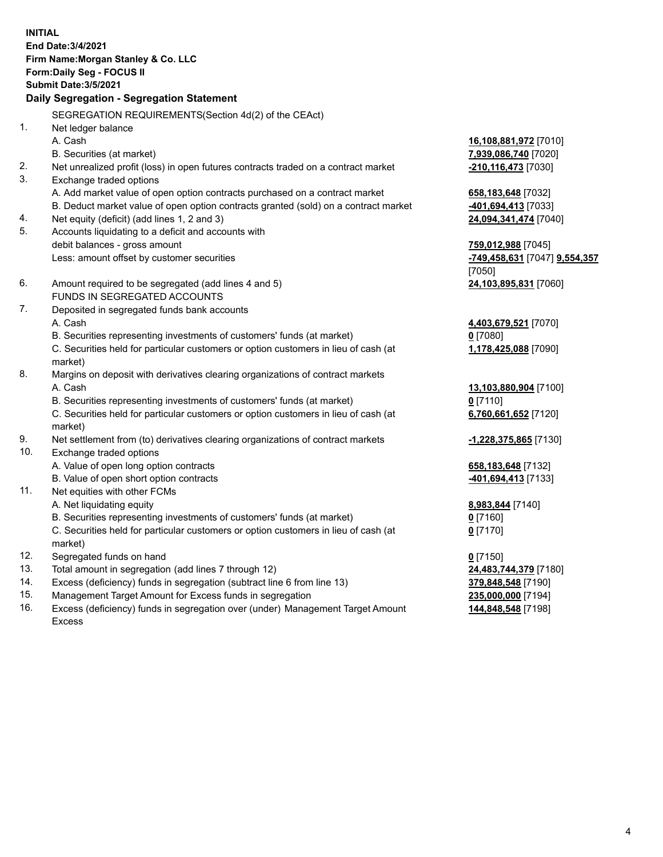|     | <b>INITIAL</b><br>End Date: 3/4/2021<br>Firm Name: Morgan Stanley & Co. LLC<br>Form: Daily Seg - FOCUS II<br><b>Submit Date: 3/5/2021</b><br>Daily Segregation - Segregation Statement |                               |
|-----|----------------------------------------------------------------------------------------------------------------------------------------------------------------------------------------|-------------------------------|
|     | SEGREGATION REQUIREMENTS(Section 4d(2) of the CEAct)                                                                                                                                   |                               |
| 1.  | Net ledger balance                                                                                                                                                                     |                               |
|     | A. Cash                                                                                                                                                                                | 16,108,881,972 [7010]         |
|     | B. Securities (at market)                                                                                                                                                              | 7,939,086,740 [7020]          |
| 2.  | Net unrealized profit (loss) in open futures contracts traded on a contract market                                                                                                     | -210,116,473 [7030]           |
| 3.  | Exchange traded options                                                                                                                                                                |                               |
|     | A. Add market value of open option contracts purchased on a contract market                                                                                                            | 658, 183, 648 [7032]          |
|     | B. Deduct market value of open option contracts granted (sold) on a contract market                                                                                                    | -401,694,413 [7033]           |
| 4.  | Net equity (deficit) (add lines 1, 2 and 3)                                                                                                                                            | 24,094,341,474 [7040]         |
| 5.  | Accounts liquidating to a deficit and accounts with                                                                                                                                    |                               |
|     | debit balances - gross amount                                                                                                                                                          | 759,012,988 [7045]            |
|     | Less: amount offset by customer securities                                                                                                                                             | -749,458,631 [7047] 9,554,357 |
|     |                                                                                                                                                                                        | [7050]                        |
| 6.  | Amount required to be segregated (add lines 4 and 5)                                                                                                                                   | 24,103,895,831 [7060]         |
|     | FUNDS IN SEGREGATED ACCOUNTS                                                                                                                                                           |                               |
| 7.  | Deposited in segregated funds bank accounts                                                                                                                                            |                               |
|     | A. Cash                                                                                                                                                                                | 4,403,679,521 [7070]          |
|     | B. Securities representing investments of customers' funds (at market)                                                                                                                 | $0$ [7080]                    |
|     | C. Securities held for particular customers or option customers in lieu of cash (at<br>market)                                                                                         | 1,178,425,088 [7090]          |
| 8.  | Margins on deposit with derivatives clearing organizations of contract markets                                                                                                         |                               |
|     | A. Cash                                                                                                                                                                                | 13,103,880,904 [7100]         |
|     | B. Securities representing investments of customers' funds (at market)                                                                                                                 | $0$ [7110]                    |
|     | C. Securities held for particular customers or option customers in lieu of cash (at                                                                                                    | 6,760,661,652 [7120]          |
| 9.  | market)<br>Net settlement from (to) derivatives clearing organizations of contract markets                                                                                             |                               |
| 10. | Exchange traded options                                                                                                                                                                | -1,228,375,865 [7130]         |
|     | A. Value of open long option contracts                                                                                                                                                 | 658, 183, 648 [7132]          |
|     | B. Value of open short option contracts                                                                                                                                                | -401,694,413 [7133]           |
| 11. | Net equities with other FCMs                                                                                                                                                           |                               |
|     | A. Net liquidating equity                                                                                                                                                              | 8,983,844 [7140]              |
|     | B. Securities representing investments of customers' funds (at market)                                                                                                                 | $0$ [7160]                    |
|     | C. Securities held for particular customers or option customers in lieu of cash (at                                                                                                    | $0$ [7170]                    |
|     | market)                                                                                                                                                                                |                               |
| 12. | Segregated funds on hand                                                                                                                                                               | $0$ [7150]                    |
| 13. | Total amount in segregation (add lines 7 through 12)                                                                                                                                   | 24,483,744,379 [7180]         |
| 14. | Excess (deficiency) funds in segregation (subtract line 6 from line 13)                                                                                                                | 379,848,548 [7190]            |
|     |                                                                                                                                                                                        |                               |

- 
- 15. Management Target Amount for Excess funds in segregation<br>16. Excess (deficiency) funds in segregation over (under) Management Target Amount 144,848,548 [7198] Excess (deficiency) funds in segregation over (under) Management Target Amount Excess

**144,848,548** [7198]